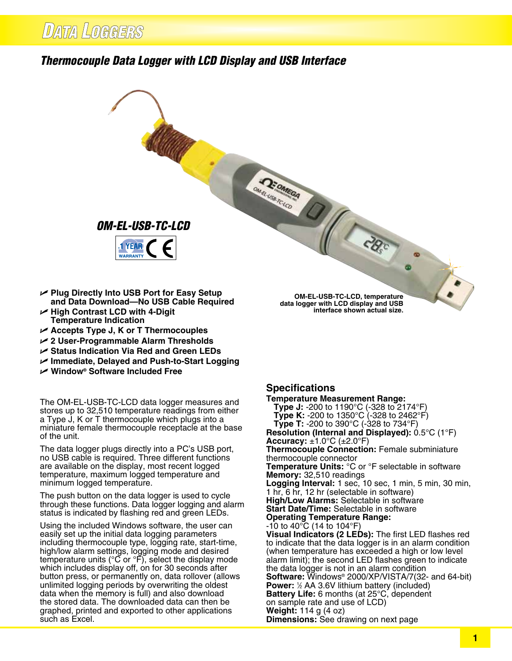## *Thermocouple Data Logger with LCD Display and USB Interface*



- **and Data Download—No USB Cable Required** U **High Contrast LCD with 4‑Digit**
- **Temperature Indication**
- U **Accepts Type J, K or T Thermocouples**
- U **2 User-Programmable Alarm Thresholds**
- U **Status Indication Via Red and Green LEDs**
- U **Immediate, Delayed and Push‑to‑Start Logging**
- U **Window® Software Included Free**

The OM‑EL‑USB‑TC‑LCD data logger measures and stores up to 32,510 temperature readings from either a Type J, K or T thermocouple which plugs into a miniature female thermocouple receptacle at the base of the unit.

The data logger plugs directly into a PC's USB port, no USB cable is required. Three different functions are available on the display, most recent logged temperature, maximum logged temperature and minimum logged temperature.

The push button on the data logger is used to cycle through these functions. Data logger logging and alarm status is indicated by flashing red and green LEDs.

Using the included Windows software, the user can easily set up the initial data logging parameters including thermocouple type, logging rate, start-time, high/low alarm settings, logging mode and desired temperature units (°C or °F), select the display mode which includes display off, on for 30 seconds after button press, or permanently on, data rollover (allows unlimited logging periods by overwriting the oldest data when the memory is full) and also download the stored data. The downloaded data can then be graphed, printed and exported to other applications such as Excel.

**Specifications**

**Temperature Measurement Range: Type J:** -200 to 1190°C (-328 to 2174°F) **Type K:** -200 to 1350°C (-328 to 2462°F) **Type T:** -200 to 390°C (-328 to 734°F) **Resolution (Internal and Displayed):** 0.5°C (1°F) **Accuracy:**  $\pm 1.0^{\circ}$ C ( $\pm 2.0^{\circ}$ F) **Thermocouple Connection:** Female subminiature thermocouple connector **Temperature Units:** °C or °F selectable in software **Memory:** 32,510 readings **Logging Interval:** 1 sec, 10 sec, 1 min, 5 min, 30 min, 1 hr, 6 hr, 12 hr (selectable in software) **High/Low Alarms:** Selectable in software **Start Date/Time:** Selectable in software **Operating Temperature Range:** -10 to 40°C (14 to 104°F) **Visual Indicators (2 LEDs):** The first LED flashes red to indicate that the data logger is in an alarm condition (when temperature has exceeded a high or low level alarm limit); the second LED flashes green to indicate the data logger is not in an alarm condition **Software:** Windows® 2000/XP/VISTA/7(32- and 64-bit) **Power:** 1/2 AA 3.6V lithium battery (included) **Battery Life:** 6 months (at 25°C, dependent on sample rate and use of LCD) **Weight:** 114 g (4 oz) **Dimensions:** See drawing on next page